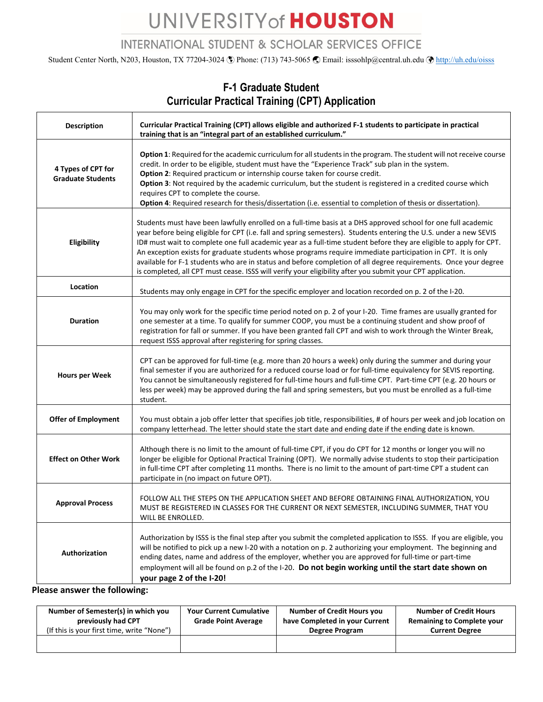## UNIVERSITY of HOUSTON

#### **INTERNATIONAL STUDENT & SCHOLAR SERVICES OFFICE**

Student Center North, N203, Houston, TX 77204-3024 ( $\degree$ ) Phone: (713) 743-5065  $\degree$  Email: isssohlp@central.uh.edu  $\degree$  <http://uh.edu/oisss>

#### **Description Curricular Practical Training (CPT) allows eligible and authorized F-1 students to participate in practical training that is an "integral part of an established curriculum." 4 Types of CPT for Graduate Students Option 1**: Required for the academic curriculum for all students in the program. The student will not receive course credit. In order to be eligible, student must have the "Experience Track" sub plan in the system. **Option 2:** Required practicum or internship course taken for course credit. **Option 3**: Not required by the academic curriculum, but the student is registered in a credited course which requires CPT to complete the course. **Option 4**: Required research for thesis/dissertation (i.e. essential to completion of thesis or dissertation). **Eligibility** Students must have been lawfully enrolled on a full-time basis at a DHS approved school for one full academic year before being eligible for CPT (i.e. fall and spring semesters). Students entering the U.S. under a new SEVIS ID# must wait to complete one full academic year as a full-time student before they are eligible to apply for CPT. An exception exists for graduate students whose programs require immediate participation in CPT. It is only available for F-1 students who are in status and before completion of all degree requirements. Once your degree is completed, all CPT must cease. ISSS will verify your eligibility after you submit your CPT application. **Location** Students may only engage in CPT for the specific employer and location recorded on p. 2 of the I-20. **Duration** You may only work for the specific time period noted on p. 2 of your I-20. Time frames are usually granted for one semester at a time. To qualify for summer COOP, you must be a continuing student and show proof of registration for fall or summer. If you have been granted fall CPT and wish to work through the Winter Break, request ISSS approval after registering for spring classes. **Hours per Week** CPT can be approved for full-time (e.g. more than 20 hours a week) only during the summer and during your final semester if you are authorized for a reduced course load or for full-time equivalency for SEVIS reporting. You cannot be simultaneously registered for full-time hours and full-time CPT. Part-time CPT (e.g. 20 hours or less per week) may be approved during the fall and spring semesters, but you must be enrolled as a full-time student. **Offer of Employment** | You must obtain a job offer letter that specifies job title, responsibilities, # of hours per week and job location on company letterhead. The letter should state the start date and ending date if the ending date is known. **Effect on Other Work** Although there is no limit to the amount of full-time CPT, if you do CPT for 12 months or longer you will no longer be eligible for Optional Practical Training (OPT). We normally advise students to stop their participation in full-time CPT after completing 11 months. There is no limit to the amount of part-time CPT a student can participate in (no impact on future OPT). **Approval Process** FOLLOW ALL THE STEPS ON THE APPLICATION SHEET AND BEFORE OBTAINING FINAL AUTHORIZATION, YOU MUST BE REGISTERED IN CLASSES FOR THE CURRENT OR NEXT SEMESTER, INCLUDING SUMMER, THAT YOU WILL BE ENROLLED. **Authorization** Authorization by ISSS is the final step after you submit the completed application to ISSS. If you are eligible, you will be notified to pick up a new I-20 with a notation on p. 2 authorizing your employment. The beginning and ending dates, name and address of the employer, whether you are approved for full-time or part-time employment will all be found on p.2 of the I-20. **Do not begin working until the start date shown on your page 2 of the I-20!**

### **F-1 Graduate Student Curricular Practical Training (CPT) Application**

**Please answer the following:**

| Number of Semester(s) in which you<br>previously had CPT<br>(If this is your first time, write "None") | <b>Your Current Cumulative</b><br><b>Grade Point Average</b> | <b>Number of Credit Hours you</b><br>have Completed in your Current<br>Degree Program | <b>Number of Credit Hours</b><br><b>Remaining to Complete your</b><br><b>Current Degree</b> |  |
|--------------------------------------------------------------------------------------------------------|--------------------------------------------------------------|---------------------------------------------------------------------------------------|---------------------------------------------------------------------------------------------|--|
|                                                                                                        |                                                              |                                                                                       |                                                                                             |  |